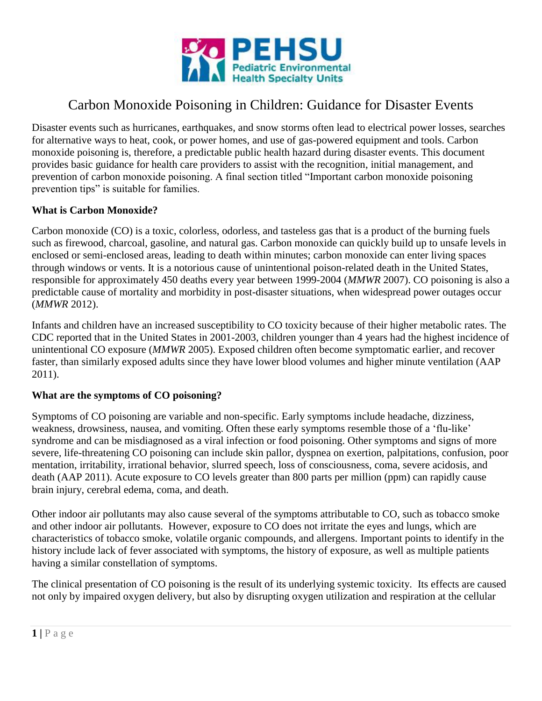

# Carbon Monoxide Poisoning in Children: Guidance for Disaster Events

Disaster events such as hurricanes, earthquakes, and snow storms often lead to electrical power losses, searches for alternative ways to heat, cook, or power homes, and use of gas-powered equipment and tools. Carbon monoxide poisoning is, therefore, a predictable public health hazard during disaster events. This document provides basic guidance for health care providers to assist with the recognition, initial management, and prevention of carbon monoxide poisoning. A final section titled "Important carbon monoxide poisoning prevention tips" is suitable for families.

#### **What is Carbon Monoxide?**

Carbon monoxide (CO) is a toxic, colorless, odorless, and tasteless gas that is a product of the burning fuels such as firewood, charcoal, gasoline, and natural gas. Carbon monoxide can quickly build up to unsafe levels in enclosed or semi-enclosed areas, leading to death within minutes; carbon monoxide can enter living spaces through windows or vents. It is a notorious cause of unintentional poison-related death in the United States, responsible for approximately 450 deaths every year between 1999-2004 (*MMWR* 2007). CO poisoning is also a predictable cause of mortality and morbidity in post-disaster situations, when widespread power outages occur (*MMWR* 2012).

Infants and children have an increased susceptibility to CO toxicity because of their higher metabolic rates. The CDC reported that in the United States in 2001-2003, children younger than 4 years had the highest incidence of unintentional CO exposure (*MMWR* 2005). Exposed children often become symptomatic earlier, and recover faster, than similarly exposed adults since they have lower blood volumes and higher minute ventilation (AAP 2011).

#### **What are the symptoms of CO poisoning?**

Symptoms of CO poisoning are variable and non-specific. Early symptoms include headache, dizziness, weakness, drowsiness, nausea, and vomiting. Often these early symptoms resemble those of a 'flu-like' syndrome and can be misdiagnosed as a viral infection or food poisoning. Other symptoms and signs of more severe, life-threatening CO poisoning can include skin pallor, dyspnea on exertion, palpitations, confusion, poor mentation, irritability, irrational behavior, slurred speech, loss of consciousness, coma, severe acidosis, and death (AAP 2011). Acute exposure to CO levels greater than 800 parts per million (ppm) can rapidly cause brain injury, cerebral edema, coma, and death.

Other indoor air pollutants may also cause several of the symptoms attributable to CO, such as tobacco smoke and other [indoor air pollutants.](http://devsite.sph.emory.edu/PEHSU/html/exposures/indoorair.htm) However, exposure to CO does not irritate the eyes and lungs, which are characteristics of tobacco smoke, volatile organic compounds, and allergens. Important points to identify in the history include lack of fever associated with symptoms, the history of exposure, as well as multiple patients having a similar constellation of symptoms.

The clinical presentation of CO poisoning is the result of its underlying systemic toxicity. Its effects are caused not only by impaired oxygen delivery, but also by disrupting oxygen utilization and respiration at the cellular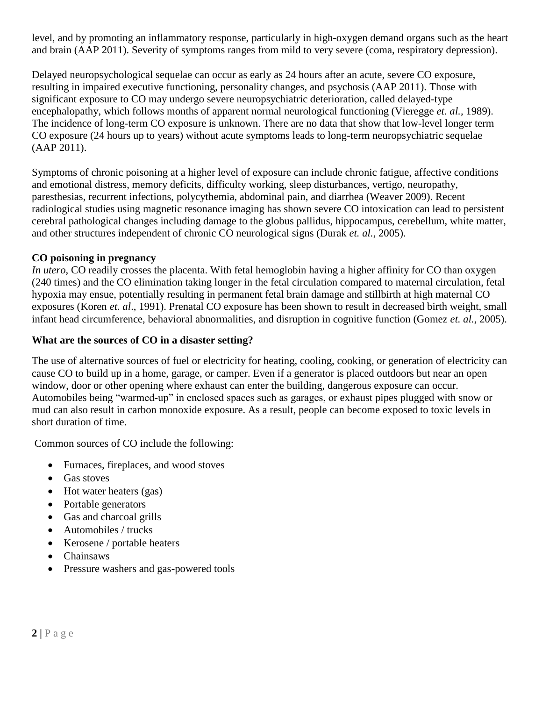level, and by promoting an inflammatory response, particularly in high-oxygen demand organs such as the heart and brain (AAP 2011). Severity of symptoms ranges from mild to very severe (coma, respiratory depression).

Delayed neuropsychological sequelae can occur as early as 24 hours after an acute, severe CO exposure, resulting in impaired executive functioning, personality changes, and psychosis (AAP 2011). Those with significant exposure to CO may undergo severe neuropsychiatric deterioration, called delayed-type encephalopathy, which follows months of apparent normal neurological functioning (Vieregge *et. al.,* 1989). The incidence of long-term CO exposure is unknown. There are no data that show that low-level longer term CO exposure (24 hours up to years) without acute symptoms leads to long-term neuropsychiatric sequelae (AAP 2011).

Symptoms of chronic poisoning at a higher level of exposure can include chronic fatigue, affective conditions and emotional distress, memory deficits, difficulty working, sleep disturbances, vertigo, neuropathy, paresthesias, recurrent infections, polycythemia, abdominal pain, and diarrhea (Weaver 2009). Recent radiological studies using magnetic resonance imaging has shown severe CO intoxication can lead to persistent cerebral pathological changes including damage to the globus pallidus, hippocampus, cerebellum, white matter, and other structures independent of chronic CO neurological signs (Durak *et. al.*, 2005).

#### **CO poisoning in pregnancy**

*In utero*, CO readily crosses the placenta. With fetal hemoglobin having a higher affinity for CO than oxygen (240 times) and the CO elimination taking longer in the fetal circulation compared to maternal circulation, fetal hypoxia may ensue, potentially resulting in permanent fetal brain damage and stillbirth at high maternal CO exposures (Koren *et. al*., 1991). Prenatal CO exposure has been shown to result in decreased birth weight, small infant head circumference, behavioral abnormalities, and disruption in cognitive function (Gomez *et. al.*, 2005).

#### **What are the sources of CO in a disaster setting?**

The use of alternative sources of fuel or electricity for heating, cooling, cooking, or generation of electricity can cause CO to build up in a home, garage, or camper. Even if a generator is placed outdoors but near an open window, door or other opening where exhaust can enter the building, dangerous exposure can occur. Automobiles being "warmed-up" in enclosed spaces such as garages, or exhaust pipes plugged with snow or mud can also result in carbon monoxide exposure. As a result, people can become exposed to toxic levels in short duration of time.

Common sources of CO include the following:

- Furnaces, fireplaces, and wood stoves
- Gas stoves
- Hot water heaters (gas)
- Portable generators
- Gas and charcoal grills
- Automobiles / trucks
- Kerosene / portable heaters
- Chainsaws
- Pressure washers and gas-powered tools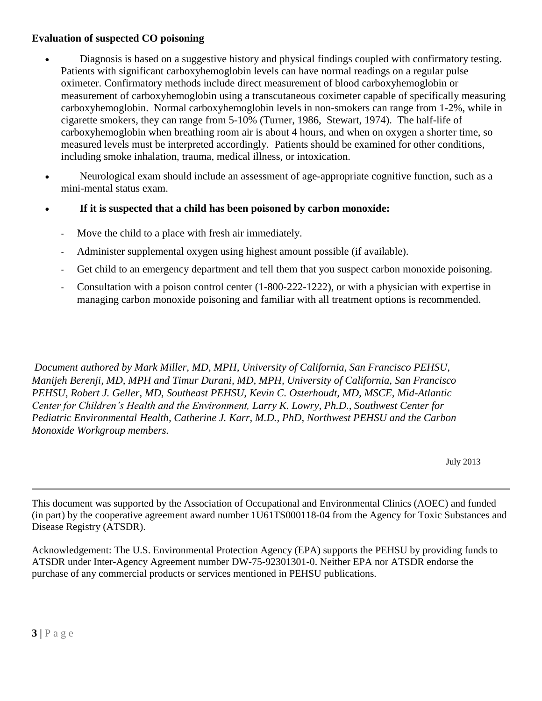## **Evaluation of suspected CO poisoning**

- Diagnosis is based on a suggestive history and physical findings coupled with confirmatory testing. Patients with significant carboxyhemoglobin levels can have normal readings on a regular pulse oximeter. Confirmatory methods include direct measurement of blood carboxyhemoglobin or measurement of carboxyhemoglobin using a transcutaneous coximeter capable of specifically measuring carboxyhemoglobin. Normal carboxyhemoglobin levels in non-smokers can range from 1-2%, while in cigarette smokers, they can range from 5-10% (Turner, 1986, Stewart, 1974). The half-life of carboxyhemoglobin when breathing room air is about 4 hours, and when on oxygen a shorter time, so measured levels must be interpreted accordingly. Patients should be examined for other conditions, including smoke inhalation, trauma, medical illness, or intoxication.
- Neurological exam should include an assessment of age-appropriate cognitive function, such as a mini-mental status exam.
- **If it is suspected that a child has been poisoned by carbon monoxide:**
	- Move the child to a place with fresh air immediately.
	- Administer supplemental oxygen using highest amount possible (if available).
	- Get child to an emergency department and tell them that you suspect carbon monoxide poisoning.
	- Consultation with a poison control center (1-800-222-1222), or with a physician with expertise in managing carbon monoxide poisoning and familiar with all treatment options is recommended.

*Document authored by Mark Miller, MD, MPH, University of California, San Francisco PEHSU, Manijeh Berenji, MD, MPH and Timur Durani, MD, MPH, University of California, San Francisco PEHSU, Robert J. Geller, MD, Southeast PEHSU, Kevin C. Osterhoudt, MD, MSCE, Mid-Atlantic Center for Children's Health and the Environment, Larry K. Lowry, Ph.D., Southwest Center for Pediatric Environmental Health, Catherine J. Karr, M.D., PhD, Northwest PEHSU and the Carbon Monoxide Workgroup members.* 

July 2013

This document was supported by the Association of Occupational and Environmental Clinics (AOEC) and funded (in part) by the cooperative agreement award number 1U61TS000118-04 from the Agency for Toxic Substances and Disease Registry (ATSDR).

Acknowledgement: The U.S. Environmental Protection Agency (EPA) supports the PEHSU by providing funds to ATSDR under Inter-Agency Agreement number DW-75-92301301-0. Neither EPA nor ATSDR endorse the purchase of any commercial products or services mentioned in PEHSU publications.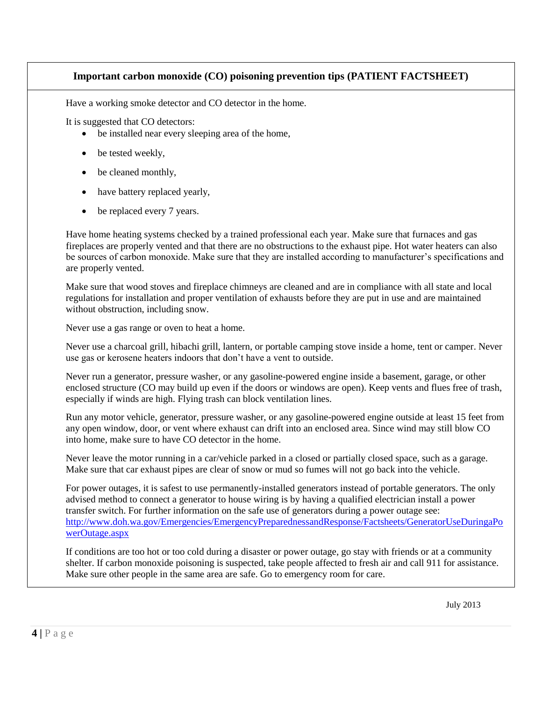# **Important carbon monoxide (CO) poisoning prevention tips (PATIENT FACTSHEET)**

Have a working smoke detector and CO detector in the home.

It is suggested that CO detectors:

- be installed near every sleeping area of the home,
- be tested weekly,
- be cleaned monthly,
- have battery replaced yearly,
- be replaced every 7 years.

Have home heating systems checked by a trained professional each year. Make sure that furnaces and gas fireplaces are properly vented and that there are no obstructions to the exhaust pipe. Hot water heaters can also be sources of carbon monoxide. Make sure that they are installed according to manufacturer's specifications and are properly vented.

Make sure that wood stoves and fireplace chimneys are cleaned and are in compliance with all state and local regulations for installation and proper ventilation of exhausts before they are put in use and are maintained without obstruction, including snow.

Never use a gas range or oven to heat a home.

Never use a charcoal grill, hibachi grill, lantern, or portable camping stove inside a home, tent or camper. Never use gas or kerosene heaters indoors that don't have a vent to outside.

Never run a generator, pressure washer, or any gasoline-powered engine inside a basement, garage, or other enclosed structure (CO may build up even if the doors or windows are open). Keep vents and flues free of trash, especially if winds are high. Flying trash can block ventilation lines.

Run any motor vehicle, generator, pressure washer, or any gasoline-powered engine outside at least 15 feet from any open window, door, or vent where exhaust can drift into an enclosed area. Since wind may still blow CO into home, make sure to have CO detector in the home.

Never leave the motor running in a car/vehicle parked in a closed or partially closed space, such as a garage. Make sure that car exhaust pipes are clear of snow or mud so fumes will not go back into the vehicle.

For power outages, it is safest to use permanently-installed generators instead of portable generators. The only advised method to connect a generator to house wiring is by having a qualified electrician install a power transfer switch. For further information on the safe use of generators during a power outage see: [http://www.doh.wa.gov/Emergencies/EmergencyPreparednessandResponse/Factsheets/GeneratorUseDuringaPo](http://www.doh.wa.gov/Emergencies/EmergencyPreparednessandResponse/Factsheets/GeneratorUseDuringaPowerOutage.aspx) [werOutage.aspx](http://www.doh.wa.gov/Emergencies/EmergencyPreparednessandResponse/Factsheets/GeneratorUseDuringaPowerOutage.aspx)

If conditions are too hot or too cold during a disaster or power outage, go stay with friends or at a community shelter. If carbon monoxide poisoning is suspected, take people affected to fresh air and call 911 for assistance. Make sure other people in the same area are safe. Go to emergency room for care.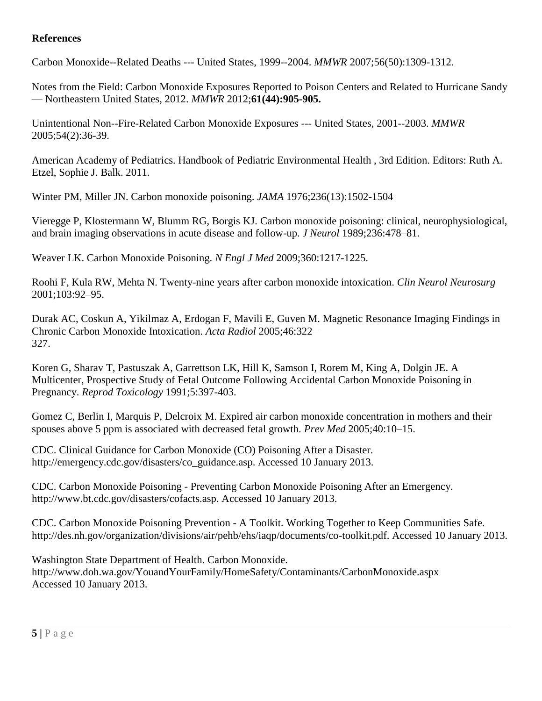## **References**

Carbon Monoxide--Related Deaths --- United States, 1999--2004. *MMWR* 2007;56(50):1309-1312.

Notes from the Field: Carbon Monoxide Exposures Reported to Poison Centers and Related to Hurricane Sandy — Northeastern United States, 2012. *MMWR* 2012;**61(44):905-905.**

Unintentional Non--Fire-Related Carbon Monoxide Exposures --- United States, 2001--2003. *MMWR* 2005;54(2):36-39.

American Academy of Pediatrics. Handbook of Pediatric Environmental Health , 3rd Edition. Editors: Ruth A. Etzel, Sophie J. Balk. 2011.

Winter PM, Miller JN. Carbon monoxide poisoning. *JAMA* 1976;236(13):1502-1504

Vieregge P, Klostermann W, Blumm RG, Borgis KJ. Carbon monoxide poisoning: clinical, neurophysiological, and brain imaging observations in acute disease and follow-up. *J Neurol* 1989;236:478–81.

Weaver LK. Carbon Monoxide Poisoning. *N Engl J Med* 2009;360:1217-1225.

Roohi F, Kula RW, Mehta N. Twenty-nine years after carbon monoxide intoxication. *Clin Neurol Neurosurg* 2001;103:92–95.

Durak AC, Coskun A, Yikilmaz A, Erdogan F, Mavili E, Guven M. Magnetic Resonance Imaging Findings in Chronic Carbon Monoxide Intoxication. *Acta Radiol* 2005;46:322– 327.

Koren G, Sharav T, Pastuszak A, Garrettson LK, Hill K, Samson I, Rorem M, King A, Dolgin JE. A Multicenter, Prospective Study of Fetal Outcome Following Accidental Carbon Monoxide Poisoning in Pregnancy. *Reprod Toxicology* 1991;5:397-403.

Gomez C, Berlin I, Marquis P, Delcroix M. Expired air carbon monoxide concentration in mothers and their spouses above 5 ppm is associated with decreased fetal growth. *Prev Med* 2005;40:10–15.

CDC. Clinical Guidance for Carbon Monoxide (CO) Poisoning After a Disaster. http://emergency.cdc.gov/disasters/co\_guidance.asp. Accessed 10 January 2013.

CDC. Carbon Monoxide Poisoning - Preventing Carbon Monoxide Poisoning After an Emergency. http://www.bt.cdc.gov/disasters/cofacts.asp. Accessed 10 January 2013.

CDC. Carbon Monoxide Poisoning Prevention - A Toolkit. Working Together to Keep Communities Safe. http://des.nh.gov/organization/divisions/air/pehb/ehs/iaqp/documents/co-toolkit.pdf. Accessed 10 January 2013.

Washington State Department of Health. Carbon Monoxide. http://www.doh.wa.gov/YouandYourFamily/HomeSafety/Contaminants/CarbonMonoxide.aspx Accessed 10 January 2013.